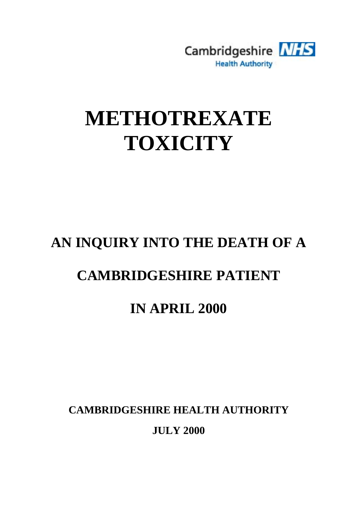

# **METHOTREXATE TOXICITY**

# **AN INQUIRY INTO THE DEATH OF A**

# **CAMBRIDGESHIRE PATIENT**

# **IN APRIL 2000**

**CAMBRIDGESHIRE HEALTH AUTHORITY**

**JULY 2000**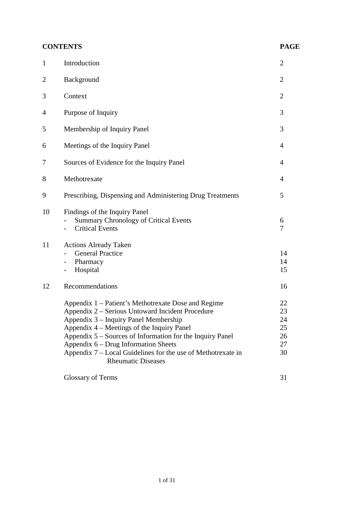|                | <b>CONTENTS</b>                                                                                                                                                                                                                                                                                                                                                                                  | <b>PAGE</b>                            |
|----------------|--------------------------------------------------------------------------------------------------------------------------------------------------------------------------------------------------------------------------------------------------------------------------------------------------------------------------------------------------------------------------------------------------|----------------------------------------|
| $\mathbf{1}$   | Introduction                                                                                                                                                                                                                                                                                                                                                                                     | $\overline{2}$                         |
| $\overline{2}$ | Background                                                                                                                                                                                                                                                                                                                                                                                       | $\overline{2}$                         |
| 3              | Context                                                                                                                                                                                                                                                                                                                                                                                          | $\overline{2}$                         |
| 4              | Purpose of Inquiry                                                                                                                                                                                                                                                                                                                                                                               | 3                                      |
| 5              | Membership of Inquiry Panel                                                                                                                                                                                                                                                                                                                                                                      | 3                                      |
| 6              | Meetings of the Inquiry Panel                                                                                                                                                                                                                                                                                                                                                                    | 4                                      |
| 7              | Sources of Evidence for the Inquiry Panel                                                                                                                                                                                                                                                                                                                                                        | 4                                      |
| 8              | Methotrexate                                                                                                                                                                                                                                                                                                                                                                                     | $\overline{4}$                         |
| 9              | Prescribing, Dispensing and Administering Drug Treatments                                                                                                                                                                                                                                                                                                                                        | 5                                      |
| 10             | Findings of the Inquiry Panel<br><b>Summary Chronology of Critical Events</b><br><b>Critical Events</b>                                                                                                                                                                                                                                                                                          | 6<br>7                                 |
| 11             | <b>Actions Already Taken</b><br><b>General Practice</b><br>Pharmacy<br>$\blacksquare$<br>Hospital                                                                                                                                                                                                                                                                                                | 14<br>14<br>15                         |
| 12             | Recommendations                                                                                                                                                                                                                                                                                                                                                                                  | 16                                     |
|                | Appendix 1 – Patient's Methotrexate Dose and Regime<br>Appendix 2 – Serious Untoward Incident Procedure<br>Appendix 3 – Inquiry Panel Membership<br>Appendix 4 – Meetings of the Inquiry Panel<br>Appendix 5 – Sources of Information for the Inquiry Panel<br>Appendix 6 – Drug Information Sheets<br>Appendix 7 – Local Guidelines for the use of Methotrexate in<br><b>Rheumatic Diseases</b> | 22<br>23<br>24<br>25<br>26<br>27<br>30 |
|                | <b>Glossary of Terms</b>                                                                                                                                                                                                                                                                                                                                                                         | 31                                     |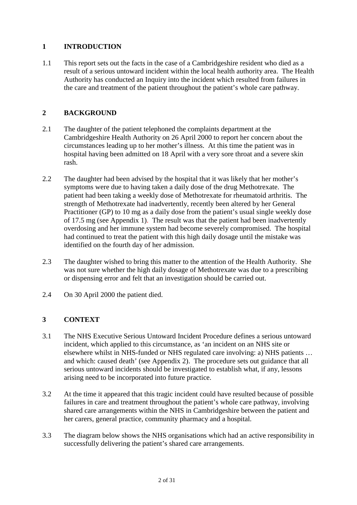# <span id="page-2-0"></span>**1 INTRODUCTION**

1.1 This report sets out the facts in the case of a Cambridgeshire resident who died as a result of a serious untoward incident within the local health authority area. The Health Authority has conducted an Inquiry into the incident which resulted from failures in the care and treatment of the patient throughout the patient's whole care pathway.

# **2 BACKGROUND**

- 2.1 The daughter of the patient telephoned the complaints department at the Cambridgeshire Health Authority on 26 April 2000 to report her concern about the circumstances leading up to her mother's illness. At this time the patient was in hospital having been admitted on 18 April with a very sore throat and a severe skin rash.
- 2.2 The daughter had been advised by the hospital that it was likely that her mother's symptoms were due to having taken a daily dose of the drug Methotrexate. The patient had been taking a weekly dose of Methotrexate for rheumatoid arthritis. The strength of Methotrexate had inadvertently, recently been altered by her General Practitioner (GP) to 10 mg as a daily dose from the patient's usual single weekly dose of 17.5 mg [\(see Appendix 1\).](#page-22-0) The result was that the patient had been inadvertently overdosing and her immune system had become severely compromised. The hospital had continued to treat the patient with this high daily dosage until the mistake was identified on the fourth day of her admission.
- 2.3 The daughter wished to bring this matter to the attention of the Health Authority. She was not sure whether the high daily dosage of Methotrexate was due to a prescribing or dispensing error and felt that an investigation should be carried out.
- 2.4 On 30 April 2000 the patient died.

# **3 CONTEXT**

- 3.1 The NHS Executive Serious Untoward Incident Procedure defines a serious untoward incident, which applied to this circumstance, as 'an incident on an NHS site or elsewhere whilst in NHS-funded or NHS regulated care involving: a) NHS patients … and which: caused death' [\(see Appendix 2\).](#page-23-0) The procedure sets out guidance that all serious untoward incidents should be investigated to establish what, if any, lessons arising need to be incorporated into future practice.
- 3.2 At the time it appeared that this tragic incident could have resulted because of possible failures in care and treatment throughout the patient's whole care pathway, involving shared care arrangements within the NHS in Cambridgeshire between the patient and her carers, general practice, community pharmacy and a hospital.
- 3.3 The diagram below shows the NHS organisations which had an active responsibility in successfully delivering the patient's shared care arrangements.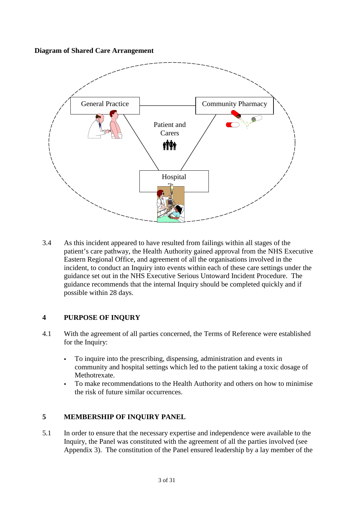#### <span id="page-3-0"></span>**Diagram of Shared Care Arrangement**



3.4 As this incident appeared to have resulted from failings within all stages of the patient's care pathway, the Health Authority gained approval from the NHS Executive Eastern Regional Office, and agreement of all the organisations involved in the incident, to conduct an Inquiry into events within each of these care settings under the guidance set out in the NHS Executive Serious Untoward Incident Procedure. The guidance recommends that the internal Inquiry should be completed quickly and if possible within 28 days.

#### **4 PURPOSE OF INQURY**

- 4.1 With the agreement of all parties concerned, the Terms of Reference were established for the Inquiry:
	- To inquire into the prescribing, dispensing, administration and events in community and hospital settings which led to the patient taking a toxic dosage of Methotrexate.
	- To make recommendations to the Health Authority and others on how to minimise the risk of future similar occurrences.

#### **5 MEMBERSHIP OF INQUIRY PANEL**

5.1 In order to ensure that the necessary expertise and independence were available to the Inquiry, the Panel was constituted with the agreement of all the parties involved (see Appendix 3). The constitution of the Panel ensured leadership by a lay member of the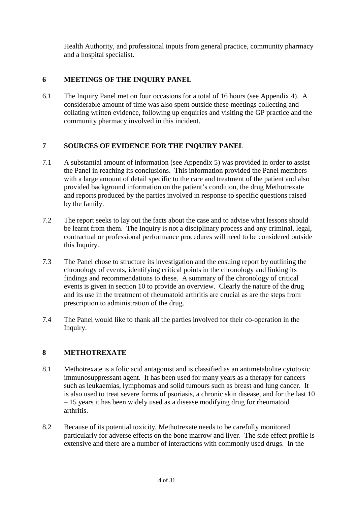<span id="page-4-0"></span>Health Authority, and professional inputs from general practice, community pharmacy and a hospital specialist.

# **6 MEETINGS OF THE INQUIRY PANEL**

6.1 The Inquiry Panel met on four occasions for a total of 16 hours (see Appendix 4). A considerable amount of time was also spent outside these meetings collecting and collating written evidence, following up enquiries and visiting the GP practice and the community pharmacy involved in this incident.

#### **7 SOURCES OF EVIDENCE FOR THE INQUIRY PANEL**

- 7.1 A substantial amount of information [\(see Appendix 5\)](#page-26-0) was provided in order to assist the Panel in reaching its conclusions. This information provided the Panel members with a large amount of detail specific to the care and treatment of the patient and also provided background information on the patient's condition, the drug Methotrexate and reports produced by the parties involved in response to specific questions raised by the family.
- 7.2 The report seeks to lay out the facts about the case and to advise what lessons should be learnt from them. The Inquiry is not a disciplinary process and any criminal, legal, contractual or professional performance procedures will need to be considered outside this Inquiry.
- 7.3 The Panel chose to structure its investigation and the ensuing report by outlining the chronology of events, identifying critical points in the chronology and linking its findings and recommendations to these. A summary of the chronology of critical events is given in section 10 to provide an overview. Clearly the nature of the drug and its use in the treatment of rheumatoid arthritis are crucial as are the steps from prescription to administration of the drug.
- 7.4 The Panel would like to thank all the parties involved for their co-operation in the Inquiry.

#### **8 METHOTREXATE**

- 8.1 Methotrexate is a folic acid antagonist and is classified as an antimetabolite cytotoxic immunosuppressant agent. It has been used for many years as a therapy for cancers such as leukaemias, lymphomas and solid tumours such as breast and lung cancer. It is also used to treat severe forms of psoriasis, a chronic skin disease, and for the last 10 – 15 years it has been widely used as a disease modifying drug for rheumatoid arthritis.
- 8.2 Because of its potential toxicity, Methotrexate needs to be carefully monitored particularly for adverse effects on the bone marrow and liver. The side effect profile is extensive and there are a number of interactions with commonly used drugs. In the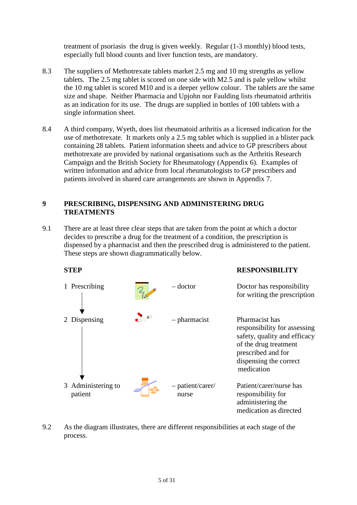<span id="page-5-0"></span>treatment of psoriasis the drug is given weekly. Regular (1-3 monthly) blood tests, especially full blood counts and liver function tests, are mandatory.

- 8.3 The suppliers of Methotrexate tablets market 2.5 mg and 10 mg strengths as yellow tablets. The 2.5 mg tablet is scored on one side with M2.5 and is pale yellow whilst the 10 mg tablet is scored M10 and is a deeper yellow colour. The tablets are the same size and shape. Neither Pharmacia and Upjohn nor Faulding lists rheumatoid arthritis as an indication for its use. The drugs are supplied in bottles of 100 tablets with a single information sheet.
- 8.4 A third company, Wyeth, does list rheumatoid arthritis as a licensed indication for the use of methotrexate. It markets only a 2.5 mg tablet which is supplied in a blister pack containing 28 tablets. Patient information sheets and advice to GP prescribers about methotrexate are provided by national organisations such as the Arthritis Research Campaign and the British Society for Rheumatology [\(Appendix 6\).](#page--1-0) Examples of written information and advice from local rheumatologists to GP prescribers and patients involved in shared care arrangements are shown in Appendix 7.

#### **9 PRESCRIBING, DISPENSING AND ADMINISTERING DRUG TREATMENTS**

9.1 There are at least three clear steps that are taken from the point at which a doctor decides to prescribe a drug for the treatment of a condition, the prescription is dispensed by a pharmacist and then the prescribed drug is administered to the patient. These steps are shown diagrammatically below.



9.2 As the diagram illustrates, there are different responsibilities at each stage of the process.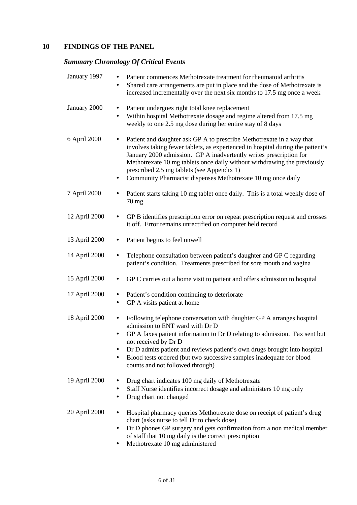# <span id="page-6-0"></span>**10 FINDINGS OF THE PANEL**

# *Summary Chronology Of Critical Events*

| January 1997  | Patient commences Methotrexate treatment for rheumatoid arthritis<br>Shared care arrangements are put in place and the dose of Methotrexate is<br>٠<br>increased incrementally over the next six months to 17.5 mg once a week                                                                                                                                                                                                              |
|---------------|---------------------------------------------------------------------------------------------------------------------------------------------------------------------------------------------------------------------------------------------------------------------------------------------------------------------------------------------------------------------------------------------------------------------------------------------|
| January 2000  | Patient undergoes right total knee replacement<br>$\bullet$<br>Within hospital Methotrexate dosage and regime altered from 17.5 mg<br>$\bullet$<br>weekly to one 2.5 mg dose during her entire stay of 8 days                                                                                                                                                                                                                               |
| 6 April 2000  | Patient and daughter ask GP A to prescribe Methotrexate in a way that<br>٠<br>involves taking fewer tablets, as experienced in hospital during the patient's<br>January 2000 admission. GP A inadvertently writes prescription for<br>Methotrexate 10 mg tablets once daily without withdrawing the previously<br>prescribed 2.5 mg tablets (see Appendix 1)<br>Community Pharmacist dispenses Methotrexate 10 mg once daily                |
| 7 April 2000  | Patient starts taking 10 mg tablet once daily. This is a total weekly dose of<br>70 mg                                                                                                                                                                                                                                                                                                                                                      |
| 12 April 2000 | GP B identifies prescription error on repeat prescription request and crosses<br>$\bullet$<br>it off. Error remains unrectified on computer held record                                                                                                                                                                                                                                                                                     |
| 13 April 2000 | Patient begins to feel unwell<br>$\bullet$                                                                                                                                                                                                                                                                                                                                                                                                  |
| 14 April 2000 | Telephone consultation between patient's daughter and GP C regarding<br>$\bullet$<br>patient's condition. Treatments prescribed for sore mouth and vagina                                                                                                                                                                                                                                                                                   |
| 15 April 2000 | GP C carries out a home visit to patient and offers admission to hospital<br>$\bullet$                                                                                                                                                                                                                                                                                                                                                      |
| 17 April 2000 | Patient's condition continuing to deteriorate<br>$\bullet$<br>GP A visits patient at home<br>$\bullet$                                                                                                                                                                                                                                                                                                                                      |
| 18 April 2000 | Following telephone conversation with daughter GP A arranges hospital<br>$\bullet$<br>admission to ENT ward with Dr D<br>GP A faxes patient information to Dr D relating to admission. Fax sent but<br>$\bullet$<br>not received by Dr D<br>Dr D admits patient and reviews patient's own drugs brought into hospital<br>٠<br>Blood tests ordered (but two successive samples inadequate for blood<br>٠<br>counts and not followed through) |
| 19 April 2000 | Drug chart indicates 100 mg daily of Methotrexate<br>٠<br>Staff Nurse identifies incorrect dosage and administers 10 mg only<br>٠<br>Drug chart not changed<br>$\bullet$                                                                                                                                                                                                                                                                    |
| 20 April 2000 | Hospital pharmacy queries Methotrexate dose on receipt of patient's drug<br>chart (asks nurse to tell Dr to check dose)<br>Dr D phones GP surgery and gets confirmation from a non medical member<br>$\bullet$<br>of staff that 10 mg daily is the correct prescription                                                                                                                                                                     |

• Methotrexate 10 mg administered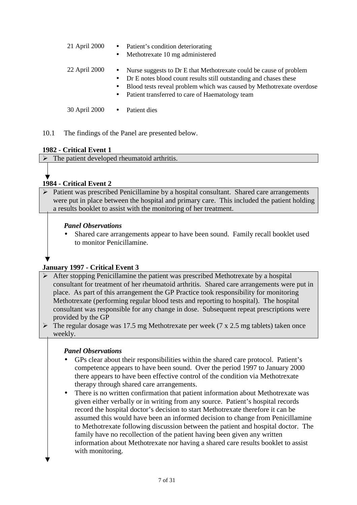- <span id="page-7-0"></span>21 April 2000 • Patient's condition deteriorating
	- Methotrexate 10 mg administered
- 22 April 2000 Nurse suggests to Dr E that Methotrexate could be cause of problem
	- Dr E notes blood count results still outstanding and chases these
	- Blood tests reveal problem which was caused by Methotrexate overdose
	- Patient transferred to care of Haematology team

30 April 2000 • Patient dies

10.1 The findings of the Panel are presented below.

#### **1982 - Critical Event 1**

 $\triangleright$  The patient developed rheumatoid arthritis.

# **1984 - Critical Event 2**

 $\triangleright$  Patient was prescribed Penicillamine by a hospital consultant. Shared care arrangements were put in place between the hospital and primary care. This included the patient holding a results booklet to assist with the monitoring of her treatment.

#### *Panel Observations*

• Shared care arrangements appear to have been sound. Family recall booklet used to monitor Penicillamine.

# **January 1997 - Critical Event 3**

- After stopping Penicillamine the patient was prescribed Methotrexate by a hospital consultant for treatment of her rheumatoid arthritis. Shared care arrangements were put in place. As part of this arrangement the GP Practice took responsibility for monitoring Methotrexate (performing regular blood tests and reporting to hospital). The hospital consultant was responsible for any change in dose. Subsequent repeat prescriptions were provided by the GP
- $\triangleright$  The regular dosage was 17.5 mg Methotrexate per week (7 x 2.5 mg tablets) taken once weekly.

- GPs clear about their responsibilities within the shared care protocol. Patient's competence appears to have been sound. Over the period 1997 to January 2000 there appears to have been effective control of the condition via Methotrexate therapy through shared care arrangements.
- There is no written confirmation that patient information about Methotrexate was given either verbally or in writing from any source. Patient's hospital records record the hospital doctor's decision to start Methotrexate therefore it can be assumed this would have been an informed decision to change from Penicillamine to Methotrexate following discussion between the patient and hospital doctor. The family have no recollection of the patient having been given any written information about Methotrexate nor having a shared care results booklet to assist with monitoring.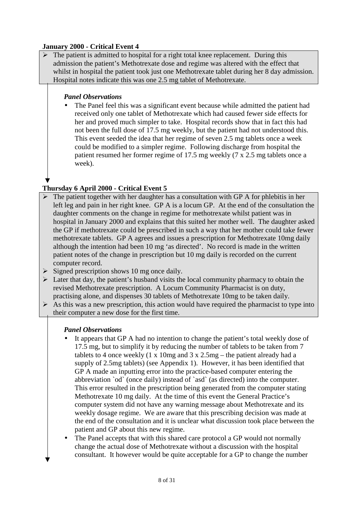### **January 2000 - Critical Event 4**

 $\triangleright$  The patient is admitted to hospital for a right total knee replacement. During this admission the patient's Methotrexate dose and regime was altered with the effect that whilst in hospital the patient took just one Methotrexate tablet during her 8 day admission. Hospital notes indicate this was one 2.5 mg tablet of Methotrexate.

### *Panel Observations*

• The Panel feel this was a significant event because while admitted the patient had received only one tablet of Methotrexate which had caused fewer side effects for her and proved much simpler to take. Hospital records show that in fact this had not been the full dose of 17.5 mg weekly, but the patient had not understood this. This event seeded the idea that her regime of seven 2.5 mg tablets once a week could be modified to a simpler regime. Following discharge from hospital the patient resumed her former regime of 17.5 mg weekly (7 x 2.5 mg tablets once a week).

# **Thursday 6 April 2000 - Critical Event 5**

- $\triangleright$  The patient together with her daughter has a consultation with GP A for phlebitis in her left leg and pain in her right knee. GP A is a locum GP. At the end of the consultation the daughter comments on the change in regime for methotrexate whilst patient was in hospital in January 2000 and explains that this suited her mother well. The daughter asked the GP if methotrexate could be prescribed in such a way that her mother could take fewer methotrexate tablets. GP A agrees and issues a prescription for Methotrexate 10mg daily although the intention had been 10 mg 'as directed'. No record is made in the written patient notes of the change in prescription but 10 mg daily is recorded on the current computer record.
- $\triangleright$  Signed prescription shows 10 mg once daily.
- $\triangleright$  Later that day, the patient's husband visits the local community pharmacy to obtain the revised Methotrexate prescription. A Locum Community Pharmacist is on duty, practising alone, and dispenses 30 tablets of Methotrexate 10mg to be taken daily.
- $\triangleright$  As this was a new prescription, this action would have required the pharmacist to type into their computer a new dose for the first time.

- It appears that GP A had no intention to change the patient's total weekly dose of 17.5 mg, but to simplify it by reducing the number of tablets to be taken from 7 tablets to 4 once weekly  $(1 \times 10mg$  and  $3 \times 2.5mg$  – the patient already had a supply of 2.5mg tablets) [\(see Appendix 1\).](#page-22-0) However, it has been identified that GP A made an inputting error into the practice-based computer entering the abbreviation `od` (once daily) instead of `asd` (as directed) into the computer. This error resulted in the prescription being generated from the computer stating Methotrexate 10 mg daily. At the time of this event the General Practice's computer system did not have any warning message about Methotrexate and its weekly dosage regime. We are aware that this prescribing decision was made at the end of the consultation and it is unclear what discussion took place between the patient and GP about this new regime.
- The Panel accepts that with this shared care protocol a GP would not normally change the actual dose of Methotrexate without a discussion with the hospital consultant. It however would be quite acceptable for a GP to change the number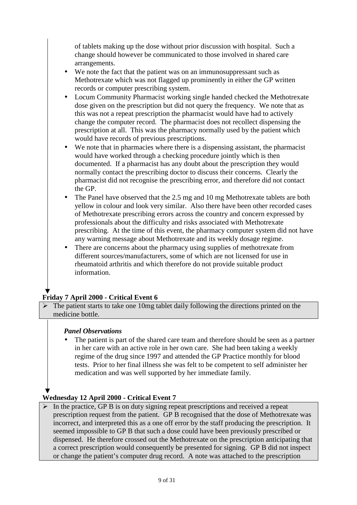of tablets making up the dose without prior discussion with hospital. Such a change should however be communicated to those involved in shared care arrangements.

- We note the fact that the patient was on an immunosuppressant such as Methotrexate which was not flagged up prominently in either the GP written records or computer prescribing system.
- Locum Community Pharmacist working single handed checked the Methotrexate dose given on the prescription but did not query the frequency. We note that as this was not a repeat prescription the pharmacist would have had to actively change the computer record. The pharmacist does not recollect dispensing the prescription at all. This was the pharmacy normally used by the patient which would have records of previous prescriptions.
- We note that in pharmacies where there is a dispensing assistant, the pharmacist would have worked through a checking procedure jointly which is then documented. If a pharmacist has any doubt about the prescription they would normally contact the prescribing doctor to discuss their concerns. Clearly the pharmacist did not recognise the prescribing error, and therefore did not contact the GP.
- The Panel have observed that the 2.5 mg and 10 mg Methotrexate tablets are both yellow in colour and look very similar. Also there have been other recorded cases of Methotrexate prescribing errors across the country and concern expressed by professionals about the difficulty and risks associated with Methotrexate prescribing. At the time of this event, the pharmacy computer system did not have any warning message about Methotrexate and its weekly dosage regime.
- There are concerns about the pharmacy using supplies of methotrexate from different sources/manufacturers, some of which are not licensed for use in rheumatoid arthritis and which therefore do not provide suitable product information.

# **Friday 7 April 2000 - Critical Event 6**

 $\triangleright$  The patient starts to take one 10mg tablet daily following the directions printed on the medicine bottle.

#### *Panel Observations*

The patient is part of the shared care team and therefore should be seen as a partner in her care with an active role in her own care. She had been taking a weekly regime of the drug since 1997 and attended the GP Practice monthly for blood tests. Prior to her final illness she was felt to be competent to self administer her medication and was well supported by her immediate family.

# **Wednesday 12 April 2000 - Critical Event 7**

 $\triangleright$  In the practice, GP B is on duty signing repeat prescriptions and received a repeat prescription request from the patient. GP B recognised that the dose of Methotrexate was incorrect, and interpreted this as a one off error by the staff producing the prescription. It seemed impossible to GP B that such a dose could have been previously prescribed or dispensed. He therefore crossed out the Methotrexate on the prescription anticipating that a correct prescription would consequently be presented for signing. GP B did not inspect or change the patient's computer drug record. A note was attached to the prescription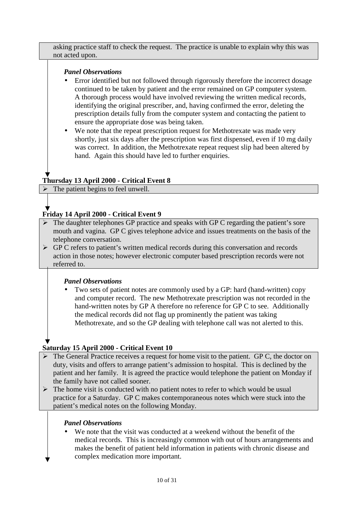asking practice staff to check the request. The practice is unable to explain why this was not acted upon.

# *Panel Observations*

- Error identified but not followed through rigorously therefore the incorrect dosage continued to be taken by patient and the error remained on GP computer system. A thorough process would have involved reviewing the written medical records, identifying the original prescriber, and, having confirmed the error, deleting the prescription details fully from the computer system and contacting the patient to ensure the appropriate dose was being taken.
- We note that the repeat prescription request for Methotrexate was made very shortly, just six days after the prescription was first dispensed, even if 10 mg daily was correct. In addition, the Methotrexate repeat request slip had been altered by hand. Again this should have led to further enquiries.

# **Thursday 13 April 2000 - Critical Event 8**

 $\triangleright$  The patient begins to feel unwell.

# **Friday 14 April 2000 - Critical Event 9**

- $\triangleright$  The daughter telephones GP practice and speaks with GP C regarding the patient's sore mouth and vagina. GP C gives telephone advice and issues treatments on the basis of the telephone conversation.
- $\triangleright$  GP C refers to patient's written medical records during this conversation and records action in those notes; however electronic computer based prescription records were not referred to.

#### *Panel Observations*

• Two sets of patient notes are commonly used by a GP: hard (hand-written) copy and computer record. The new Methotrexate prescription was not recorded in the hand-written notes by GP A therefore no reference for GP C to see. Additionally the medical records did not flag up prominently the patient was taking Methotrexate, and so the GP dealing with telephone call was not alerted to this.

# **Saturday 15 April 2000 - Critical Event 10**

- $\triangleright$  The General Practice receives a request for home visit to the patient. GP C, the doctor on duty, visits and offers to arrange patient's admission to hospital. This is declined by the patient and her family. It is agreed the practice would telephone the patient on Monday if the family have not called sooner.
- $\triangleright$  The home visit is conducted with no patient notes to refer to which would be usual practice for a Saturday. GP C makes contemporaneous notes which were stuck into the patient's medical notes on the following Monday.

### *Panel Observations*

We note that the visit was conducted at a weekend without the benefit of the medical records. This is increasingly common with out of hours arrangements and makes the benefit of patient held information in patients with chronic disease and complex medication more important.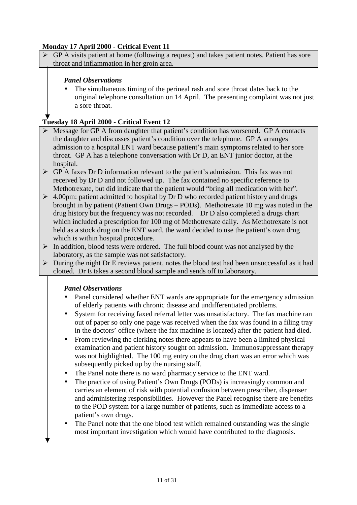# **Monday 17 April 2000 - Critical Event 11**

 GP A visits patient at home (following a request) and takes patient notes. Patient has sore throat and inflammation in her groin area.

### *Panel Observations*

The simultaneous timing of the perineal rash and sore throat dates back to the original telephone consultation on 14 April. The presenting complaint was not just a sore throat.

### **Tuesday 18 April 2000 - Critical Event 12**

- Message for GP A from daughter that patient's condition has worsened. GP A contacts the daughter and discusses patient's condition over the telephone. GP A arranges admission to a hospital ENT ward because patient's main symptoms related to her sore throat. GP A has a telephone conversation with Dr D, an ENT junior doctor, at the hospital.
- $\triangleright$  GP A faxes Dr D information relevant to the patient's admission. This fax was not received by Dr D and not followed up. The fax contained no specific reference to Methotrexate, but did indicate that the patient would "bring all medication with her".
- $\geq 4.00$ pm: patient admitted to hospital by Dr D who recorded patient history and drugs brought in by patient (Patient Own Drugs – PODs). Methotrexate 10 mg was noted in the drug history but the frequency was not recorded. Dr D also completed a drugs chart which included a prescription for 100 mg of Methotrexate daily. As Methotrexate is not held as a stock drug on the ENT ward, the ward decided to use the patient's own drug which is within hospital procedure.
- $\triangleright$  In addition, blood tests were ordered. The full blood count was not analysed by the laboratory, as the sample was not satisfactory.
- $\triangleright$  During the night Dr E reviews patient, notes the blood test had been unsuccessful as it had clotted. Dr E takes a second blood sample and sends off to laboratory.

- Panel considered whether ENT wards are appropriate for the emergency admission of elderly patients with chronic disease and undifferentiated problems.
- System for receiving faxed referral letter was unsatisfactory. The fax machine ran out of paper so only one page was received when the fax was found in a filing tray in the doctors' office (where the fax machine is located) after the patient had died.
- From reviewing the clerking notes there appears to have been a limited physical examination and patient history sought on admission. Immunosuppressant therapy was not highlighted. The 100 mg entry on the drug chart was an error which was subsequently picked up by the nursing staff.
- The Panel note there is no ward pharmacy service to the ENT ward.
- The practice of using Patient's Own Drugs (PODs) is increasingly common and carries an element of risk with potential confusion between prescriber, dispenser and administering responsibilities. However the Panel recognise there are benefits to the POD system for a large number of patients, such as immediate access to a patient's own drugs.
- The Panel note that the one blood test which remained outstanding was the single most important investigation which would have contributed to the diagnosis.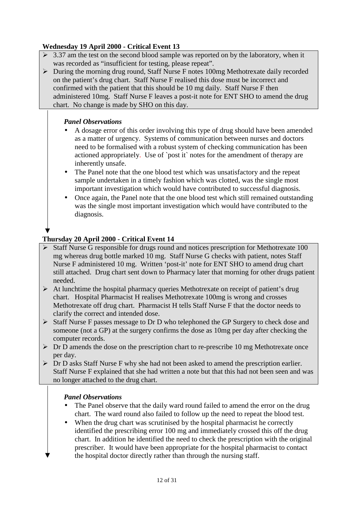# **Wednesday 19 April 2000 - Critical Event 13**

- $\geq 3.37$  am the test on the second blood sample was reported on by the laboratory, when it was recorded as "insufficient for testing, please repeat".
- During the morning drug round, Staff Nurse F notes 100mg Methotrexate daily recorded on the patient's drug chart. Staff Nurse F realised this dose must be incorrect and confirmed with the patient that this should be 10 mg daily. Staff Nurse F then administered 10mg. Staff Nurse F leaves a post-it note for ENT SHO to amend the drug chart. No change is made by SHO on this day.

# *Panel Observations*

- A dosage error of this order involving this type of drug should have been amended as a matter of urgency. Systems of communication between nurses and doctors need to be formalised with a robust system of checking communication has been actioned appropriately. Use of `post it` notes for the amendment of therapy are inherently unsafe.
- The Panel note that the one blood test which was unsatisfactory and the repeat sample undertaken in a timely fashion which was clotted, was the single most important investigation which would have contributed to successful diagnosis.
- Once again, the Panel note that the one blood test which still remained outstanding was the single most important investigation which would have contributed to the diagnosis.

# **Thursday 20 April 2000 - Critical Event 14**

- $\triangleright$  Staff Nurse G responsible for drugs round and notices prescription for Methotrexate 100 mg whereas drug bottle marked 10 mg. Staff Nurse G checks with patient, notes Staff Nurse F administered 10 mg. Written 'post-it' note for ENT SHO to amend drug chart still attached. Drug chart sent down to Pharmacy later that morning for other drugs patient needed.
- $\triangleright$  At lunchtime the hospital pharmacy queries Methotrexate on receipt of patient's drug chart. Hospital Pharmacist H realises Methotrexate 100mg is wrong and crosses Methotrexate off drug chart. Pharmacist H tells Staff Nurse F that the doctor needs to clarify the correct and intended dose.
- $\triangleright$  Staff Nurse F passes message to Dr D who telephoned the GP Surgery to check dose and someone (not a GP) at the surgery confirms the dose as 10mg per day after checking the computer records.
- $\triangleright$  Dr D amends the dose on the prescription chart to re-prescribe 10 mg Methotrexate once per day.
- $\triangleright$  Dr D asks Staff Nurse F why she had not been asked to amend the prescription earlier. Staff Nurse F explained that she had written a note but that this had not been seen and was no longer attached to the drug chart.

- The Panel observe that the daily ward round failed to amend the error on the drug chart. The ward round also failed to follow up the need to repeat the blood test.
- When the drug chart was scrutinised by the hospital pharmacist he correctly identified the prescribing error 100 mg and immediately crossed this off the drug chart. In addition he identified the need to check the prescription with the original prescriber. It would have been appropriate for the hospital pharmacist to contact the hospital doctor directly rather than through the nursing staff.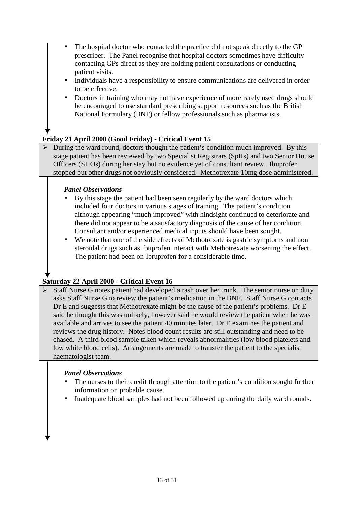- The hospital doctor who contacted the practice did not speak directly to the GP prescriber. The Panel recognise that hospital doctors sometimes have difficulty contacting GPs direct as they are holding patient consultations or conducting patient visits.
- Individuals have a responsibility to ensure communications are delivered in order to be effective.
- Doctors in training who may not have experience of more rarely used drugs should be encouraged to use standard prescribing support resources such as the British National Formulary (BNF) or fellow professionals such as pharmacists.

#### **Friday 21 April 2000 (Good Friday) - Critical Event 15**

 $\triangleright$  During the ward round, doctors thought the patient's condition much improved. By this stage patient has been reviewed by two Specialist Registrars (SpRs) and two Senior House Officers (SHOs) during her stay but no evidence yet of consultant review. Ibuprofen stopped but other drugs not obviously considered. Methotrexate 10mg dose administered.

#### *Panel Observations*

- By this stage the patient had been seen regularly by the ward doctors which included four doctors in various stages of training. The patient's condition although appearing "much improved" with hindsight continued to deteriorate and there did not appear to be a satisfactory diagnosis of the cause of her condition. Consultant and/or experienced medical inputs should have been sought.
- We note that one of the side effects of Methotrexate is gastric symptoms and non steroidal drugs such as Ibuprofen interact with Methotrexate worsening the effect. The patient had been on Ibruprofen for a considerable time.

# **Saturday 22 April 2000 - Critical Event 16**

 $\triangleright$  Staff Nurse G notes patient had developed a rash over her trunk. The senior nurse on duty asks Staff Nurse G to review the patient's medication in the BNF. Staff Nurse G contacts Dr E and suggests that Methotrexate might be the cause of the patient's problems. Dr E said he thought this was unlikely, however said he would review the patient when he was available and arrives to see the patient 40 minutes later. Dr E examines the patient and reviews the drug history. Notes blood count results are still outstanding and need to be chased. A third blood sample taken which reveals abnormalities (low blood platelets and low white blood cells). Arrangements are made to transfer the patient to the specialist haematologist team.

- The nurses to their credit through attention to the patient's condition sought further information on probable cause.
- Inadequate blood samples had not been followed up during the daily ward rounds.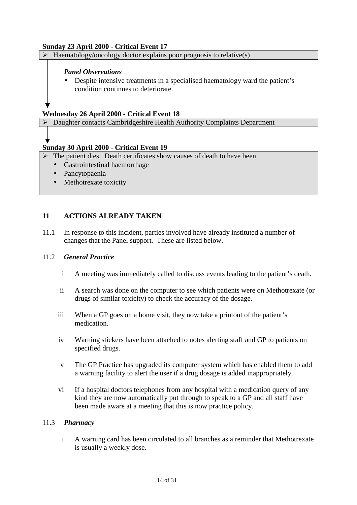#### <span id="page-14-0"></span>**Sunday 23 April 2000 - Critical Event 17**

 $\triangleright$  Haematology/oncology doctor explains poor prognosis to relative(s)

#### *Panel Observations*

• Despite intensive treatments in a specialised haematology ward the patient's condition continues to deteriorate.

#### **Wednesday 26 April 2000 - Critical Event 18**

Daughter contacts Cambridgeshire Health Authority Complaints Department

#### **Sunday 30 April 2000 - Critical Event 19**

- $\triangleright$  The patient dies. Death certificates show causes of death to have been
	- Gastrointestinal haemorrhage
	- Pancytopaenia
	- Methotrexate toxicity

#### **11 ACTIONS ALREADY TAKEN**

11.1 In response to this incident, parties involved have already instituted a number of changes that the Panel support. These are listed below.

#### 11.2 *General Practice*

- i A meeting was immediately called to discuss events leading to the patient's death.
- ii A search was done on the computer to see which patients were on Methotrexate (or drugs of similar toxicity) to check the accuracy of the dosage.
- iii When a GP goes on a home visit, they now take a printout of the patient's medication.
- iv Warning stickers have been attached to notes alerting staff and GP to patients on specified drugs.
- v The GP Practice has upgraded its computer system which has enabled them to add a warning facility to alert the user if a drug dosage is added inappropriately.
- vi If a hospital doctors telephones from any hospital with a medication query of any kind they are now automatically put through to speak to a GP and all staff have been made aware at a meeting that this is now practice policy.

#### 11.3 *Pharmacy*

i A warning card has been circulated to all branches as a reminder that Methotrexate is usually a weekly dose.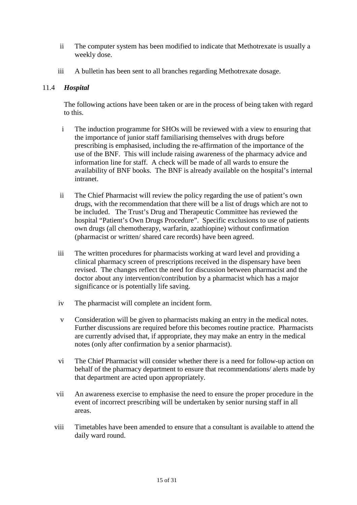- <span id="page-15-0"></span>ii The computer system has been modified to indicate that Methotrexate is usually a weekly dose.
- iii A bulletin has been sent to all branches regarding Methotrexate dosage.

#### 11.4 *Hospital*

The following actions have been taken or are in the process of being taken with regard to this.

- i The induction programme for SHOs will be reviewed with a view to ensuring that the importance of junior staff familiarising themselves with drugs before prescribing is emphasised, including the re-affirmation of the importance of the use of the BNF. This will include raising awareness of the pharmacy advice and information line for staff. A check will be made of all wards to ensure the availability of BNF books. The BNF is already available on the hospital's internal intranet.
- ii The Chief Pharmacist will review the policy regarding the use of patient's own drugs, with the recommendation that there will be a list of drugs which are not to be included. The Trust's Drug and Therapeutic Committee has reviewed the hospital "Patient's Own Drugs Procedure". Specific exclusions to use of patients own drugs (all chemotherapy, warfarin, azathiopine) without confirmation (pharmacist or written/ shared care records) have been agreed.
- iii The written procedures for pharmacists working at ward level and providing a clinical pharmacy screen of prescriptions received in the dispensary have been revised. The changes reflect the need for discussion between pharmacist and the doctor about any intervention/contribution by a pharmacist which has a major significance or is potentially life saving.
- iv The pharmacist will complete an incident form.
- v Consideration will be given to pharmacists making an entry in the medical notes. Further discussions are required before this becomes routine practice. Pharmacists are currently advised that, if appropriate, they may make an entry in the medical notes (only after confirmation by a senior pharmacist).
- vi The Chief Pharmacist will consider whether there is a need for follow-up action on behalf of the pharmacy department to ensure that recommendations/ alerts made by that department are acted upon appropriately.
- vii An awareness exercise to emphasise the need to ensure the proper procedure in the event of incorrect prescribing will be undertaken by senior nursing staff in all areas.
- viii Timetables have been amended to ensure that a consultant is available to attend the daily ward round.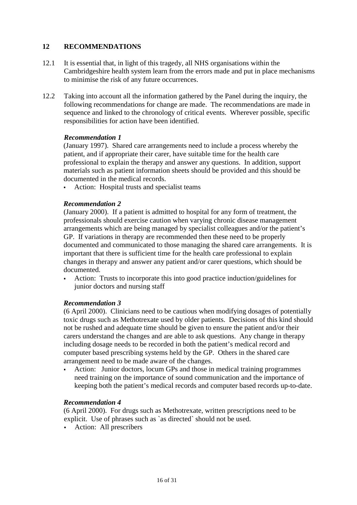#### <span id="page-16-0"></span>**12 RECOMMENDATIONS**

- 12.1 It is essential that, in light of this tragedy, all NHS organisations within the Cambridgeshire health system learn from the errors made and put in place mechanisms to minimise the risk of any future occurrences.
- 12.2 Taking into account all the information gathered by the Panel during the inquiry, the following recommendations for change are made. The recommendations are made in sequence and linked to the chronology of critical events. Wherever possible, specific responsibilities for action have been identified.

#### *Recommendation 1*

(January 1997). Shared care arrangements need to include a process whereby the patient, and if appropriate their carer, have suitable time for the health care professional to explain the therapy and answer any questions. In addition, support materials such as patient information sheets should be provided and this should be documented in the medical records.

Action: Hospital trusts and specialist teams

#### *Recommendation 2*

(January 2000). If a patient is admitted to hospital for any form of treatment, the professionals should exercise caution when varying chronic disease management arrangements which are being managed by specialist colleagues and/or the patient's GP. If variations in therapy are recommended then these need to be properly documented and communicated to those managing the shared care arrangements. It is important that there is sufficient time for the health care professional to explain changes in therapy and answer any patient and/or carer questions, which should be documented.

 Action: Trusts to incorporate this into good practice induction/guidelines for junior doctors and nursing staff

#### *Recommendation 3*

(6 April 2000). Clinicians need to be cautious when modifying dosages of potentially toxic drugs such as Methotrexate used by older patients. Decisions of this kind should not be rushed and adequate time should be given to ensure the patient and/or their carers understand the changes and are able to ask questions. Any change in therapy including dosage needs to be recorded in both the patient's medical record and computer based prescribing systems held by the GP. Others in the shared care arrangement need to be made aware of the changes.

 Action: Junior doctors, locum GPs and those in medical training programmes need training on the importance of sound communication and the importance of keeping both the patient's medical records and computer based records up-to-date.

#### *Recommendation 4*

(6 April 2000). For drugs such as Methotrexate, written prescriptions need to be explicit. Use of phrases such as `as directed` should not be used.

Action: All prescribers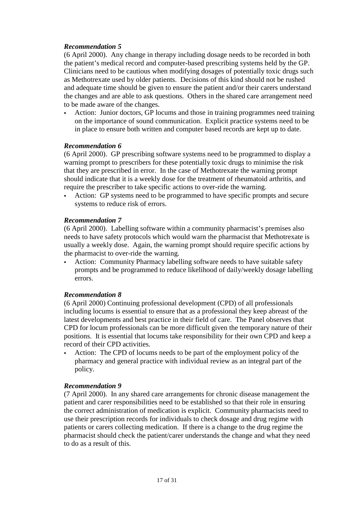#### *Recommendation 5*

(6 April 2000). Any change in therapy including dosage needs to be recorded in both the patient's medical record and computer-based prescribing systems held by the GP. Clinicians need to be cautious when modifying dosages of potentially toxic drugs such as Methotrexate used by older patients. Decisions of this kind should not be rushed and adequate time should be given to ensure the patient and/or their carers understand the changes and are able to ask questions. Others in the shared care arrangement need to be made aware of the changes.

 Action: Junior doctors, GP locums and those in training programmes need training on the importance of sound communication. Explicit practice systems need to be in place to ensure both written and computer based records are kept up to date.

#### *Recommendation 6*

(6 April 2000). GP prescribing software systems need to be programmed to display a warning prompt to prescribers for these potentially toxic drugs to minimise the risk that they are prescribed in error. In the case of Methotrexate the warning prompt should indicate that it is a weekly dose for the treatment of rheumatoid arthritis, and require the prescriber to take specific actions to over-ride the warning.

 Action: GP systems need to be programmed to have specific prompts and secure systems to reduce risk of errors.

#### *Recommendation 7*

(6 April 2000). Labelling software within a community pharmacist's premises also needs to have safety protocols which would warn the pharmacist that Methotrexate is usually a weekly dose. Again, the warning prompt should require specific actions by the pharmacist to over-ride the warning.

 Action: Community Pharmacy labelling software needs to have suitable safety prompts and be programmed to reduce likelihood of daily/weekly dosage labelling errors.

#### *Recommendation 8*

(6 April 2000) Continuing professional development (CPD) of all professionals including locums is essential to ensure that as a professional they keep abreast of the latest developments and best practice in their field of care. The Panel observes that CPD for locum professionals can be more difficult given the temporary nature of their positions. It is essential that locums take responsibility for their own CPD and keep a record of their CPD activities.

 Action: The CPD of locums needs to be part of the employment policy of the pharmacy and general practice with individual review as an integral part of the policy.

#### *Recommendation 9*

(7 April 2000). In any shared care arrangements for chronic disease management the patient and carer responsibilities need to be established so that their role in ensuring the correct administration of medication is explicit. Community pharmacists need to use their prescription records for individuals to check dosage and drug regime with patients or carers collecting medication. If there is a change to the drug regime the pharmacist should check the patient/carer understands the change and what they need to do as a result of this.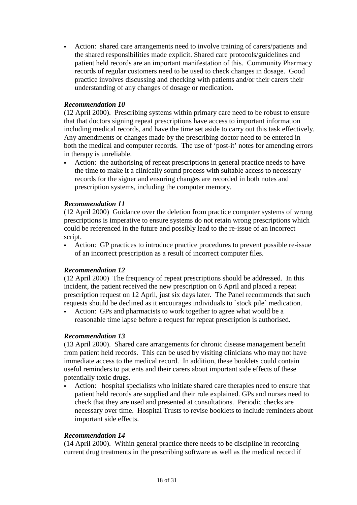Action: shared care arrangements need to involve training of carers/patients and the shared responsibilities made explicit. Shared care protocols/guidelines and patient held records are an important manifestation of this. Community Pharmacy records of regular customers need to be used to check changes in dosage. Good practice involves discussing and checking with patients and/or their carers their understanding of any changes of dosage or medication.

#### *Recommendation 10*

(12 April 2000). Prescribing systems within primary care need to be robust to ensure that that doctors signing repeat prescriptions have access to important information including medical records, and have the time set aside to carry out this task effectively. Any amendments or changes made by the prescribing doctor need to be entered in both the medical and computer records. The use of 'post-it' notes for amending errors in therapy is unreliable.

 Action: the authorising of repeat prescriptions in general practice needs to have the time to make it a clinically sound process with suitable access to necessary records for the signer and ensuring changes are recorded in both notes and prescription systems, including the computer memory.

#### *Recommendation 11*

(12 April 2000) Guidance over the deletion from practice computer systems of wrong prescriptions is imperative to ensure systems do not retain wrong prescriptions which could be referenced in the future and possibly lead to the re-issue of an incorrect script.

 Action: GP practices to introduce practice procedures to prevent possible re-issue of an incorrect prescription as a result of incorrect computer files.

#### *Recommendation 12*

(12 April 2000) The frequency of repeat prescriptions should be addressed. In this incident, the patient received the new prescription on 6 April and placed a repeat prescription request on 12 April, just six days later. The Panel recommends that such requests should be declined as it encourages individuals to `stock pile` medication.

 Action: GPs and pharmacists to work together to agree what would be a reasonable time lapse before a request for repeat prescription is authorised.

#### *Recommendation 13*

(13 April 2000). Shared care arrangements for chronic disease management benefit from patient held records. This can be used by visiting clinicians who may not have immediate access to the medical record. In addition, these booklets could contain useful reminders to patients and their carers about important side effects of these potentially toxic drugs.

 Action: hospital specialists who initiate shared care therapies need to ensure that patient held records are supplied and their role explained. GPs and nurses need to check that they are used and presented at consultations. Periodic checks are necessary over time. Hospital Trusts to revise booklets to include reminders about important side effects.

#### *Recommendation 14*

(14 April 2000). Within general practice there needs to be discipline in recording current drug treatments in the prescribing software as well as the medical record if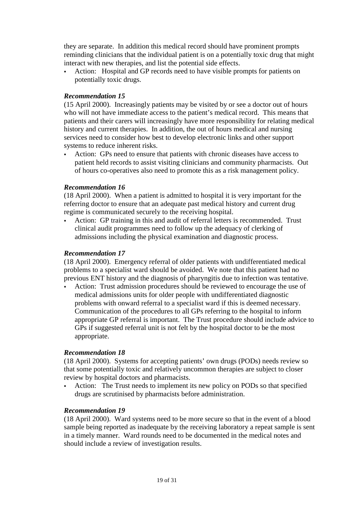they are separate. In addition this medical record should have prominent prompts reminding clinicians that the individual patient is on a potentially toxic drug that might interact with new therapies, and list the potential side effects.

 Action: Hospital and GP records need to have visible prompts for patients on potentially toxic drugs.

#### *Recommendation 15*

(15 April 2000). Increasingly patients may be visited by or see a doctor out of hours who will not have immediate access to the patient's medical record. This means that patients and their carers will increasingly have more responsibility for relating medical history and current therapies. In addition, the out of hours medical and nursing services need to consider how best to develop electronic links and other support systems to reduce inherent risks.

 Action: GPs need to ensure that patients with chronic diseases have access to patient held records to assist visiting clinicians and community pharmacists. Out of hours co-operatives also need to promote this as a risk management policy.

#### *Recommendation 16*

(18 April 2000). When a patient is admitted to hospital it is very important for the referring doctor to ensure that an adequate past medical history and current drug regime is communicated securely to the receiving hospital.

 Action: GP training in this and audit of referral letters is recommended. Trust clinical audit programmes need to follow up the adequacy of clerking of admissions including the physical examination and diagnostic process.

#### *Recommendation 17*

(18 April 2000). Emergency referral of older patients with undifferentiated medical problems to a specialist ward should be avoided. We note that this patient had no previous ENT history and the diagnosis of pharyngitis due to infection was tentative.

 Action: Trust admission procedures should be reviewed to encourage the use of medical admissions units for older people with undifferentiated diagnostic problems with onward referral to a specialist ward if this is deemed necessary. Communication of the procedures to all GPs referring to the hospital to inform appropriate GP referral is important. The Trust procedure should include advice to GPs if suggested referral unit is not felt by the hospital doctor to be the most appropriate.

#### *Recommendation 18*

(18 April 2000). Systems for accepting patients' own drugs (PODs) needs review so that some potentially toxic and relatively uncommon therapies are subject to closer review by hospital doctors and pharmacists.

 Action: The Trust needs to implement its new policy on PODs so that specified drugs are scrutinised by pharmacists before administration.

#### *Recommendation 19*

(18 April 2000). Ward systems need to be more secure so that in the event of a blood sample being reported as inadequate by the receiving laboratory a repeat sample is sent in a timely manner. Ward rounds need to be documented in the medical notes and should include a review of investigation results.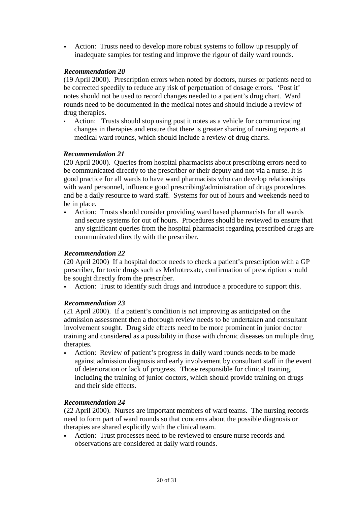Action: Trusts need to develop more robust systems to follow up resupply of inadequate samples for testing and improve the rigour of daily ward rounds.

#### *Recommendation 20*

(19 April 2000). Prescription errors when noted by doctors, nurses or patients need to be corrected speedily to reduce any risk of perpetuation of dosage errors. 'Post it' notes should not be used to record changes needed to a patient's drug chart. Ward rounds need to be documented in the medical notes and should include a review of drug therapies.

 Action: Trusts should stop using post it notes as a vehicle for communicating changes in therapies and ensure that there is greater sharing of nursing reports at medical ward rounds, which should include a review of drug charts.

#### *Recommendation 21*

(20 April 2000). Queries from hospital pharmacists about prescribing errors need to be communicated directly to the prescriber or their deputy and not via a nurse. It is good practice for all wards to have ward pharmacists who can develop relationships with ward personnel, influence good prescribing/administration of drugs procedures and be a daily resource to ward staff. Systems for out of hours and weekends need to be in place.

 Action: Trusts should consider providing ward based pharmacists for all wards and secure systems for out of hours. Procedures should be reviewed to ensure that any significant queries from the hospital pharmacist regarding prescribed drugs are communicated directly with the prescriber.

#### *Recommendation 22*

(20 April 2000) If a hospital doctor needs to check a patient's prescription with a GP prescriber, for toxic drugs such as Methotrexate, confirmation of prescription should be sought directly from the prescriber.

Action: Trust to identify such drugs and introduce a procedure to support this.

#### *Recommendation 23*

(21 April 2000). If a patient's condition is not improving as anticipated on the admission assessment then a thorough review needs to be undertaken and consultant involvement sought. Drug side effects need to be more prominent in junior doctor training and considered as a possibility in those with chronic diseases on multiple drug therapies.

 Action: Review of patient's progress in daily ward rounds needs to be made against admission diagnosis and early involvement by consultant staff in the event of deterioration or lack of progress. Those responsible for clinical training, including the training of junior doctors, which should provide training on drugs and their side effects.

#### *Recommendation 24*

(22 April 2000). Nurses are important members of ward teams. The nursing records need to form part of ward rounds so that concerns about the possible diagnosis or therapies are shared explicitly with the clinical team.

 Action: Trust processes need to be reviewed to ensure nurse records and observations are considered at daily ward rounds.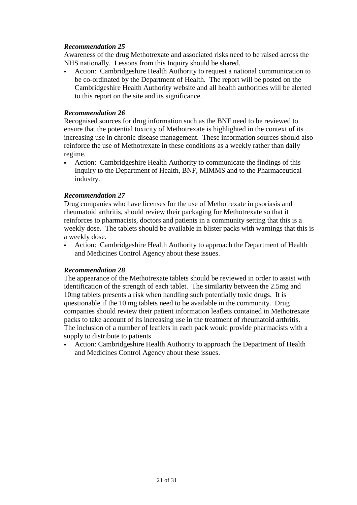#### *Recommendation 25*

Awareness of the drug Methotrexate and associated risks need to be raised across the NHS nationally. Lessons from this Inquiry should be shared.

 Action: Cambridgeshire Health Authority to request a national communication to be co-ordinated by the Department of Health. The report will be posted on the Cambridgeshire Health Authority website and all health authorities will be alerted to this report on the site and its significance.

#### *Recommendation 26*

Recognised sources for drug information such as the BNF need to be reviewed to ensure that the potential toxicity of Methotrexate is highlighted in the context of its increasing use in chronic disease management. These information sources should also reinforce the use of Methotrexate in these conditions as a weekly rather than daily regime.

 Action: Cambridgeshire Health Authority to communicate the findings of this Inquiry to the Department of Health, BNF, MIMMS and to the Pharmaceutical industry.

#### *Recommendation 27*

Drug companies who have licenses for the use of Methotrexate in psoriasis and rheumatoid arthritis, should review their packaging for Methotrexate so that it reinforces to pharmacists, doctors and patients in a community setting that this is a weekly dose. The tablets should be available in blister packs with warnings that this is a weekly dose.

 Action: Cambridgeshire Health Authority to approach the Department of Health and Medicines Control Agency about these issues.

#### *Recommendation 28*

The appearance of the Methotrexate tablets should be reviewed in order to assist with identification of the strength of each tablet. The similarity between the 2.5mg and 10mg tablets presents a risk when handling such potentially toxic drugs. It is questionable if the 10 mg tablets need to be available in the community. Drug companies should review their patient information leaflets contained in Methotrexate packs to take account of its increasing use in the treatment of rheumatoid arthritis. The inclusion of a number of leaflets in each pack would provide pharmacists with a supply to distribute to patients.

 Action: Cambridgeshire Health Authority to approach the Department of Health and Medicines Control Agency about these issues.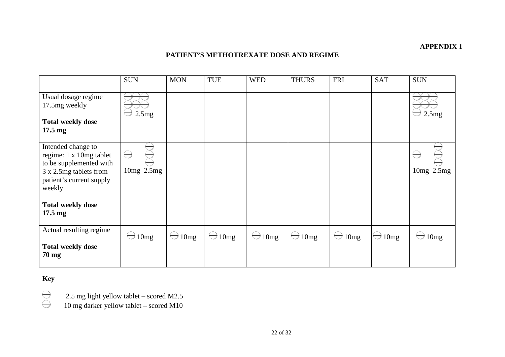#### **APPENDIX 1**

#### **PATIENT'S METHOTREXATE DOSE AND REGIME**

<span id="page-22-0"></span>

|                                                                                                                                          | <b>SUN</b>                                                                                                                                                                                                                                                                                                                                                                                                                                                                                    | <b>MON</b>        | TUE               | <b>WED</b> | <b>THURS</b> | FRI             | <b>SAT</b> | <b>SUN</b>     |
|------------------------------------------------------------------------------------------------------------------------------------------|-----------------------------------------------------------------------------------------------------------------------------------------------------------------------------------------------------------------------------------------------------------------------------------------------------------------------------------------------------------------------------------------------------------------------------------------------------------------------------------------------|-------------------|-------------------|------------|--------------|-----------------|------------|----------------|
| Usual dosage regime<br>17.5mg weekly                                                                                                     | 2.5mg                                                                                                                                                                                                                                                                                                                                                                                                                                                                                         |                   |                   |            |              |                 |            | 2.5mg          |
| <b>Total weekly dose</b><br>$17.5 \text{ mg}$                                                                                            |                                                                                                                                                                                                                                                                                                                                                                                                                                                                                               |                   |                   |            |              |                 |            |                |
| Intended change to<br>regime: 1 x 10mg tablet<br>to be supplemented with<br>3 x 2.5mg tablets from<br>patient's current supply<br>weekly | $\ominus$<br>$10mg$ $2.5mg$                                                                                                                                                                                                                                                                                                                                                                                                                                                                   |                   |                   |            |              |                 |            | $10mg$ $2.5mg$ |
| <b>Total weekly dose</b><br>$17.5 \text{ mg}$                                                                                            |                                                                                                                                                                                                                                                                                                                                                                                                                                                                                               |                   |                   |            |              |                 |            |                |
| Actual resulting regime                                                                                                                  | $\begin{array}{c} \nabla \cdot \mathbf{1} \quad \mathbf{1} \quad \mathbf{1} \quad \mathbf{1} \quad \mathbf{1} \quad \mathbf{1} \quad \mathbf{1} \quad \mathbf{1} \quad \mathbf{1} \quad \mathbf{1} \quad \mathbf{1} \quad \mathbf{1} \quad \mathbf{1} \quad \mathbf{1} \quad \mathbf{1} \quad \mathbf{1} \quad \mathbf{1} \quad \mathbf{1} \quad \mathbf{1} \quad \mathbf{1} \quad \mathbf{1} \quad \mathbf{1} \quad \mathbf{1} \quad \mathbf{1} \quad \mathbf{1} \quad \mathbf{1} \$<br>10mg | $\ominus$<br>10mg | $\ominus$<br>10mg | 10mg       | 10mg<br>▽    | $\bigcirc$ 10mg | 10mg       | 10mg           |
| <b>Total weekly dose</b><br>$70 \text{ mg}$                                                                                              |                                                                                                                                                                                                                                                                                                                                                                                                                                                                                               |                   |                   |            |              |                 |            |                |

# **Key**

 $\bigoplus$ 

2.5 mg light yellow tablet – scored M2.5

10 mg darker yellow tablet – scored M10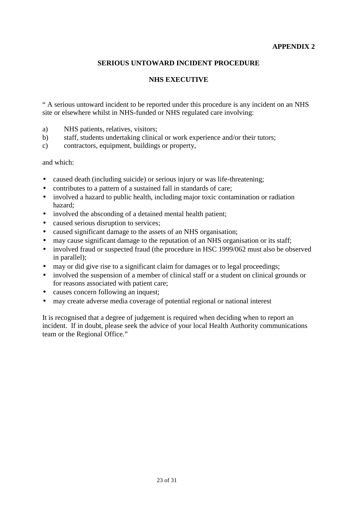#### **APPENDIX 2**

#### **SERIOUS UNTOWARD INCIDENT PROCEDURE**

#### **NHS EXECUTIVE**

<span id="page-23-0"></span>" A serious untoward incident to be reported under this procedure is any incident on an NHS site or elsewhere whilst in NHS-funded or NHS regulated care involving:

- a) NHS patients, relatives, visitors;
- b) staff, students undertaking clinical or work experience and/or their tutors;
- c) contractors, equipment, buildings or property,

and which:

- caused death (including suicide) or serious injury or was life-threatening;
- contributes to a pattern of a sustained fall in standards of care;
- involved a hazard to public health, including major toxic contamination or radiation hazard;
- involved the absconding of a detained mental health patient;
- caused serious disruption to services;
- caused significant damage to the assets of an NHS organisation;
- may cause significant damage to the reputation of an NHS organisation or its staff;
- involved fraud or suspected fraud (the procedure in HSC 1999/062 must also be observed in parallel);
- may or did give rise to a significant claim for damages or to legal proceedings;
- involved the suspension of a member of clinical staff or a student on clinical grounds or for reasons associated with patient care;
- causes concern following an inquest;
- may create adverse media coverage of potential regional or national interest

It is recognised that a degree of judgement is required when deciding when to report an incident. If in doubt, please seek the advice of your local Health Authority communications team or the Regional Office."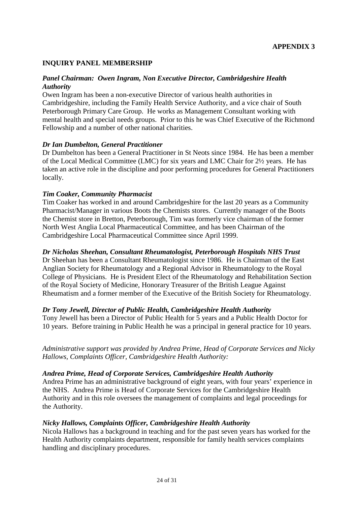#### <span id="page-24-0"></span>**INQUIRY PANEL MEMBERSHIP**

#### *Panel Chairman: Owen Ingram, Non Executive Director, Cambridgeshire Health Authority*

Owen Ingram has been a non-executive Director of various health authorities in Cambridgeshire, including the Family Health Service Authority, and a vice chair of South Peterborough Primary Care Group. He works as Management Consultant working with mental health and special needs groups. Prior to this he was Chief Executive of the Richmond Fellowship and a number of other national charities.

#### *Dr Ian Dumbelton, General Practitioner*

Dr Dumbelton has been a General Practitioner in St Neots since 1984. He has been a member of the Local Medical Committee (LMC) for six years and LMC Chair for 2½ years. He has taken an active role in the discipline and poor performing procedures for General Practitioners locally.

#### *Tim Coaker, Community Pharmacist*

Tim Coaker has worked in and around Cambridgeshire for the last 20 years as a Community Pharmacist/Manager in various Boots the Chemists stores. Currently manager of the Boots the Chemist store in Bretton, Peterborough, Tim was formerly vice chairman of the former North West Anglia Local Pharmaceutical Committee, and has been Chairman of the Cambridgeshire Local Pharmaceutical Committee since April 1999.

#### *Dr Nicholas Sheehan, Consultant Rheumatologist, Peterborough Hospitals NHS Trust*

Dr Sheehan has been a Consultant Rheumatologist since 1986. He is Chairman of the East Anglian Society for Rheumatology and a Regional Advisor in Rheumatology to the Royal College of Physicians. He is President Elect of the Rheumatology and Rehabilitation Section of the Royal Society of Medicine, Honorary Treasurer of the British League Against Rheumatism and a former member of the Executive of the British Society for Rheumatology.

#### *Dr Tony Jewell, Director of Public Health, Cambridgeshire Health Authority*

Tony Jewell has been a Director of Public Health for 5 years and a Public Health Doctor for 10 years. Before training in Public Health he was a principal in general practice for 10 years.

*Administrative support was provided by Andrea Prime, Head of Corporate Services and Nicky Hallows, Complaints Officer, Cambridgeshire Health Authority:*

#### *Andrea Prime, Head of Corporate Services, Cambridgeshire Health Authority*

Andrea Prime has an administrative background of eight years, with four years' experience in the NHS. Andrea Prime is Head of Corporate Services for the Cambridgeshire Health Authority and in this role oversees the management of complaints and legal proceedings for the Authority.

#### *Nicky Hallows, Complaints Officer, Cambridgeshire Health Authority*

Nicola Hallows has a background in teaching and for the past seven years has worked for the Health Authority complaints department, responsible for family health services complaints handling and disciplinary procedures.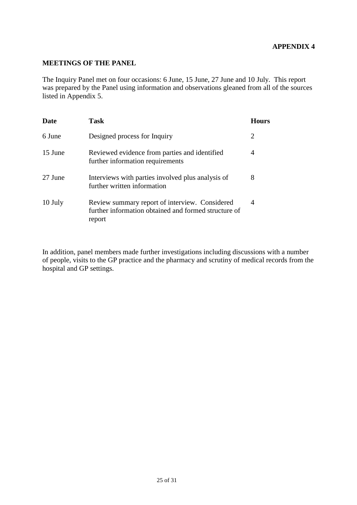#### **APPENDIX 4**

#### <span id="page-25-0"></span>**MEETINGS OF THE PANEL**

The Inquiry Panel met on four occasions: 6 June, 15 June, 27 June and 10 July. This report was prepared by the Panel using information and observations gleaned from all of the sources listed in Appendix 5.

| <b>Date</b> | Task                                                                                                             | Hours |
|-------------|------------------------------------------------------------------------------------------------------------------|-------|
| 6 June      | Designed process for Inquiry                                                                                     | 2     |
| 15 June     | Reviewed evidence from parties and identified<br>further information requirements                                | 4     |
| 27 June     | Interviews with parties involved plus analysis of<br>further written information                                 | 8     |
| 10 July     | Review summary report of interview. Considered<br>further information obtained and formed structure of<br>report | 4     |

In addition, panel members made further investigations including discussions with a number of people, visits to the GP practice and the pharmacy and scrutiny of medical records from the hospital and GP settings.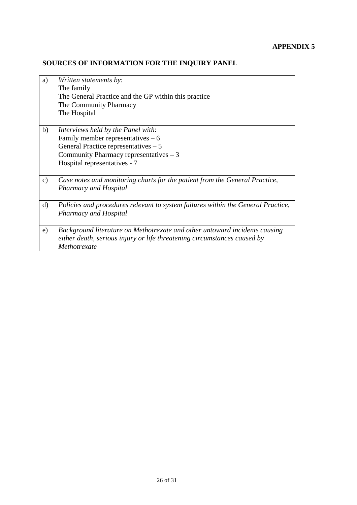# <span id="page-26-0"></span>**SOURCES OF INFORMATION FOR THE INQUIRY PANEL**

| a)            | Written statements by:<br>The family<br>The General Practice and the GP within this practice<br>The Community Pharmacy<br>The Hospital                                                      |
|---------------|---------------------------------------------------------------------------------------------------------------------------------------------------------------------------------------------|
| b)            | Interviews held by the Panel with:<br>Family member representatives $-6$<br>General Practice representatives - 5<br>Community Pharmacy representatives $-3$<br>Hospital representatives - 7 |
| $\mathbf{c})$ | Case notes and monitoring charts for the patient from the General Practice,<br><b>Pharmacy and Hospital</b>                                                                                 |
| $\mathbf{d}$  | Policies and procedures relevant to system failures within the General Practice,<br><b>Pharmacy and Hospital</b>                                                                            |
| e)            | Background literature on Methotrexate and other untoward incidents causing<br>either death, serious injury or life threatening circumstances caused by<br>Methotrexate                      |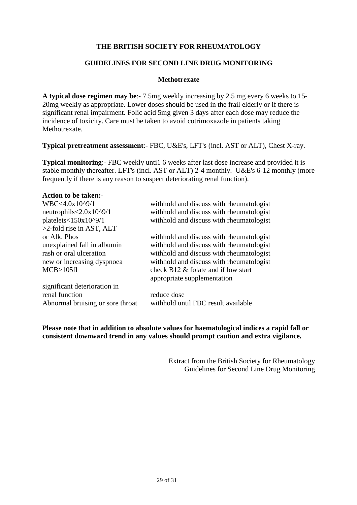#### **THE BRITISH SOCIETY FOR RHEUMATOLOGY**

#### **GUIDELINES FOR SECOND LINE DRUG MONITORING**

#### **Methotrexate**

**A typical dose regimen may be**:- 7.5mg weekly increasing by 2.5 mg every 6 weeks to 15- 20mg weekly as appropriate. Lower doses should be used in the frail elderly or if there is significant renal impairment. Folic acid 5mg given 3 days after each dose may reduce the incidence of toxicity. Care must be taken to avoid cotrimoxazole in patients taking Methotrexate.

**Typical pretreatment assessment**:- FBC, U&E's, LFT's (incl. AST or ALT), Chest X-ray.

**Typical monitoring:** FBC weekly until 6 weeks after last dose increase and provided it is stable monthly thereafter. LFT's (incl. AST or ALT) 2-4 monthly. U&E's 6-12 monthly (more frequently if there is any reason to suspect deteriorating renal function).

#### **Action to be taken:-**

| WBC<4.0x10^9/1                   | withhold and discuss with rheumatologist  |
|----------------------------------|-------------------------------------------|
| neutrophils $<2.0x10^{9}/1$      | with hold and discuss with rheumatologist |
| platelets<150x10^9/1             | withhold and discuss with rheumatologist  |
| $>2$ -fold rise in AST, ALT      |                                           |
| or Alk. Phos                     | with hold and discuss with rheumatologist |
| unexplained fall in albumin      | withhold and discuss with rheumatologist  |
| rash or oral ulceration          | withhold and discuss with rheumatologist  |
| new or increasing dyspnoea       | withhold and discuss with rheumatologist  |
| MCB > 105f1                      | check B12 & folate and if low start       |
|                                  | appropriate supplementation               |
| significant deterioration in     |                                           |
| renal function                   | reduce dose                               |
| Abnormal bruising or sore throat | withhold until FBC result available       |
|                                  |                                           |

**Please note that in addition to absolute values for haematological indices a rapid fall or consistent downward trend in any values should prompt caution and extra vigilance.**

> Extract from the British Society for Rheumatology Guidelines for Second Line Drug Monitoring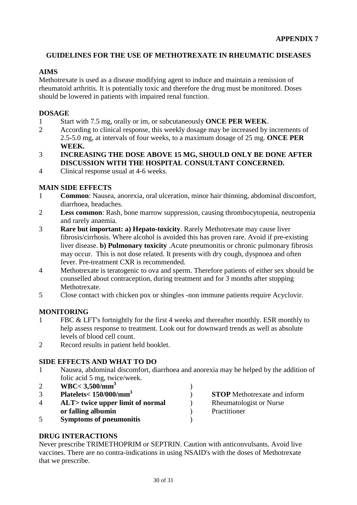# <span id="page-28-0"></span>**GUIDELINES FOR THE USE OF METHOTREXATE IN RHEUMATIC DISEASES**

# **AIMS**

Methotrexate is used as a disease modifying agent to induce and maintain a remission of rheumatoid arthritis. It is potentially toxic and therefore the drug must be monitored. Doses should be lowered in patients with impaired renal function.

# **DOSAGE**

- 1 Start with 7.5 mg, orally or im, or subcutaneously **ONCE PER WEEK**.
- 2 According to clinical response, this weekly dosage may be increased by increments of 2.5-5.0 mg, at intervals of four weeks, to a maximum dosage of 25 mg. **ONCE PER WEEK.**
- 3 **INCREASING THE DOSE ABOVE 15 MG, SHOULD ONLY BE DONE AFTER DISCUSSION WITH THE HOSPITAL CONSULTANT CONCERNED.**
- 4 Clinical response usual at 4-6 weeks.

#### **MAIN SIDE EFFECTS**

- 1 **Common**: Nausea, anorexia, oral ulceration, minor hair thinning, abdominal discomfort, diarrhoea, headaches.
- 2 **Less common**: Rash, bone marrow suppression, causing thrombocytopenia, neutropenia and rarely anaemia.
- 3 **Rare but important: a) Hepato-toxicity**. Rarely Methotrexate may cause liver fibrosis/cirrhosis. Where alcohol is avoided this has proven rare. Avoid if pre-existing liver disease. **b) Pulmonary toxicity** .Acute pneumonitis or chronic pulmonary fibrosis may occur. This is not dose related. It presents with dry cough, dyspnoea and often fever. Pre-treatment CXR is recommended.
- 4 Methotrexate is teratogenic to ova and sperm. Therefore patients of either sex should be counselled about contraception, during treatment and for 3 months after stopping **Methotrexate**
- 5 Close contact with chicken pox or shingles -non immune patients require Acyclovir.

#### **MONITORING**

- 1 FBC & LFT's fortnightly for the first 4 weeks and thereafter monthly. ESR monthly to help assess response to treatment. Look out for downward trends as well as absolute levels of blood cell count.
- 2 Record results in patient held booklet.

#### **SIDE EFFECTS AND WHAT TO DO**

- 1 Nausea, abdominal discomfort, diarrhoea and anorexia may be helped by the addition of folic acid 5 mg, twice/week.
- 2 **WBC< 3,500/mm3** )
- 3 **Platelets< 150/000/mm3** ) **STOP** Methotrexate and inform 4 **ALT> twice upper limit of normal** ) Rheumatologist or Nurse **or falling albumin** (a) Practitioner 5 **Symptoms of pneumonitis** )

# **DRUG INTERACTIONS**

Never prescribe TRIMETHOPRIM or SEPTRIN. Caution with anticonvulsants. Avoid live vaccines. There are no contra-indications in using NSAID's with the doses of Methotrexate that we prescribe.